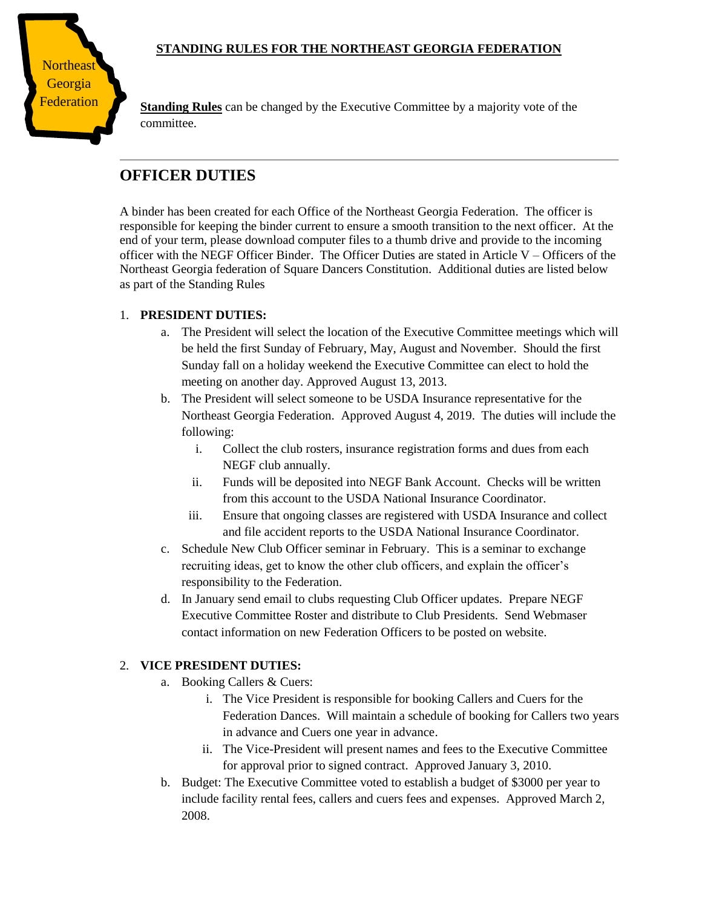## **STANDING RULES FOR THE NORTHEAST GEORGIA FEDERATION**



**Federation** Standing Rules can be changed by the Executive Committee by a majority vote of the committee.

# **OFFICER DUTIES**

A binder has been created for each Office of the Northeast Georgia Federation. The officer is responsible for keeping the binder current to ensure a smooth transition to the next officer. At the end of your term, please download computer files to a thumb drive and provide to the incoming officer with the NEGF Officer Binder. The Officer Duties are stated in Article V – Officers of the Northeast Georgia federation of Square Dancers Constitution. Additional duties are listed below as part of the Standing Rules

#### 1. **PRESIDENT DUTIES:**

- a. The President will select the location of the Executive Committee meetings which will be held the first Sunday of February, May, August and November. Should the first Sunday fall on a holiday weekend the Executive Committee can elect to hold the meeting on another day. Approved August 13, 2013.
- b. The President will select someone to be USDA Insurance representative for the Northeast Georgia Federation. Approved August 4, 2019. The duties will include the following:
	- i. Collect the club rosters, insurance registration forms and dues from each NEGF club annually.
	- ii. Funds will be deposited into NEGF Bank Account. Checks will be written from this account to the USDA National Insurance Coordinator.
	- iii. Ensure that ongoing classes are registered with USDA Insurance and collect and file accident reports to the USDA National Insurance Coordinator.
- c. Schedule New Club Officer seminar in February. This is a seminar to exchange recruiting ideas, get to know the other club officers, and explain the officer's responsibility to the Federation.
- d. In January send email to clubs requesting Club Officer updates. Prepare NEGF Executive Committee Roster and distribute to Club Presidents. Send Webmaser contact information on new Federation Officers to be posted on website.

#### 2. **VICE PRESIDENT DUTIES:**

- a. Booking Callers & Cuers:
	- i. The Vice President is responsible for booking Callers and Cuers for the Federation Dances. Will maintain a schedule of booking for Callers two years in advance and Cuers one year in advance.
	- ii. The Vice-President will present names and fees to the Executive Committee for approval prior to signed contract. Approved January 3, 2010.
- b. Budget: The Executive Committee voted to establish a budget of \$3000 per year to include facility rental fees, callers and cuers fees and expenses. Approved March 2, 2008.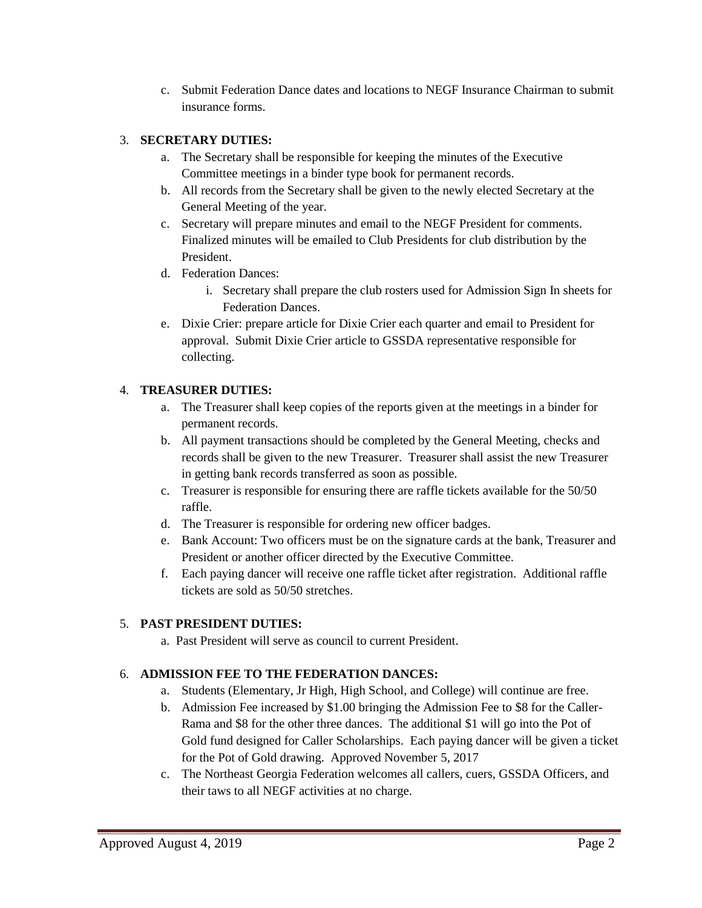c. Submit Federation Dance dates and locations to NEGF Insurance Chairman to submit insurance forms.

## 3. **SECRETARY DUTIES:**

- a. The Secretary shall be responsible for keeping the minutes of the Executive Committee meetings in a binder type book for permanent records.
- b. All records from the Secretary shall be given to the newly elected Secretary at the General Meeting of the year.
- c. Secretary will prepare minutes and email to the NEGF President for comments. Finalized minutes will be emailed to Club Presidents for club distribution by the President.
- d. Federation Dances:
	- i. Secretary shall prepare the club rosters used for Admission Sign In sheets for Federation Dances.
- e. Dixie Crier: prepare article for Dixie Crier each quarter and email to President for approval. Submit Dixie Crier article to GSSDA representative responsible for collecting.

## 4. **TREASURER DUTIES:**

- a. The Treasurer shall keep copies of the reports given at the meetings in a binder for permanent records.
- b. All payment transactions should be completed by the General Meeting, checks and records shall be given to the new Treasurer. Treasurer shall assist the new Treasurer in getting bank records transferred as soon as possible.
- c. Treasurer is responsible for ensuring there are raffle tickets available for the 50/50 raffle.
- d. The Treasurer is responsible for ordering new officer badges.
- e. Bank Account: Two officers must be on the signature cards at the bank, Treasurer and President or another officer directed by the Executive Committee.
- f. Each paying dancer will receive one raffle ticket after registration. Additional raffle tickets are sold as 50/50 stretches.

## 5. **PAST PRESIDENT DUTIES:**

a. Past President will serve as council to current President.

## 6. **ADMISSION FEE TO THE FEDERATION DANCES:**

- a. Students (Elementary, Jr High, High School, and College) will continue are free.
- b. Admission Fee increased by \$1.00 bringing the Admission Fee to \$8 for the Caller-Rama and \$8 for the other three dances. The additional \$1 will go into the Pot of Gold fund designed for Caller Scholarships. Each paying dancer will be given a ticket for the Pot of Gold drawing. Approved November 5, 2017
- c. The Northeast Georgia Federation welcomes all callers, cuers, GSSDA Officers, and their taws to all NEGF activities at no charge.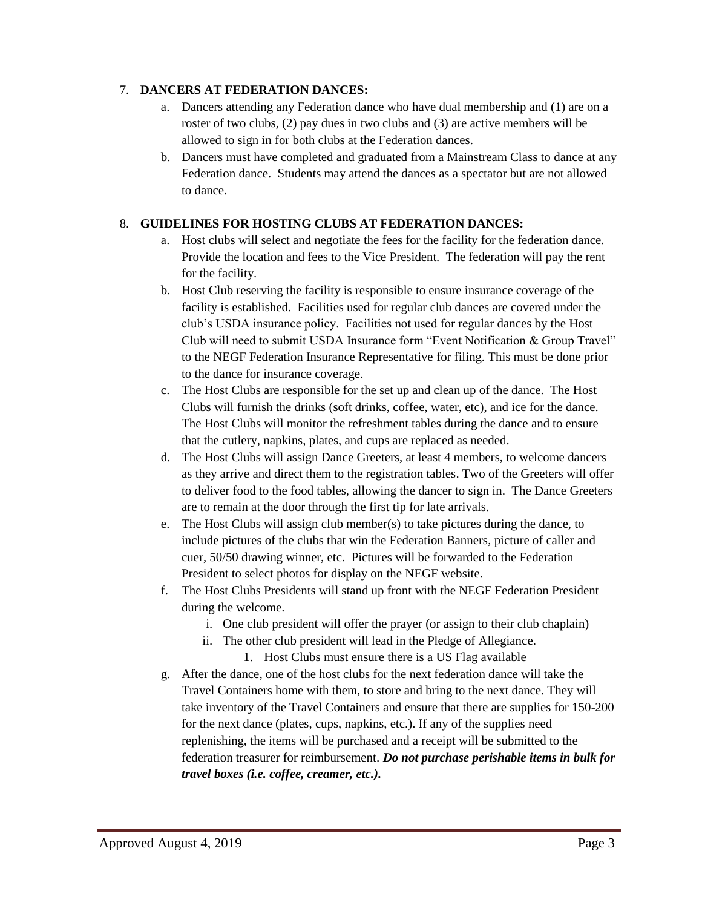#### 7. **DANCERS AT FEDERATION DANCES:**

- a. Dancers attending any Federation dance who have dual membership and (1) are on a roster of two clubs, (2) pay dues in two clubs and (3) are active members will be allowed to sign in for both clubs at the Federation dances.
- b. Dancers must have completed and graduated from a Mainstream Class to dance at any Federation dance. Students may attend the dances as a spectator but are not allowed to dance.

## 8. **GUIDELINES FOR HOSTING CLUBS AT FEDERATION DANCES:**

- a. Host clubs will select and negotiate the fees for the facility for the federation dance. Provide the location and fees to the Vice President. The federation will pay the rent for the facility.
- b. Host Club reserving the facility is responsible to ensure insurance coverage of the facility is established. Facilities used for regular club dances are covered under the club's USDA insurance policy. Facilities not used for regular dances by the Host Club will need to submit USDA Insurance form "Event Notification & Group Travel" to the NEGF Federation Insurance Representative for filing. This must be done prior to the dance for insurance coverage.
- c. The Host Clubs are responsible for the set up and clean up of the dance. The Host Clubs will furnish the drinks (soft drinks, coffee, water, etc), and ice for the dance. The Host Clubs will monitor the refreshment tables during the dance and to ensure that the cutlery, napkins, plates, and cups are replaced as needed.
- d. The Host Clubs will assign Dance Greeters, at least 4 members, to welcome dancers as they arrive and direct them to the registration tables. Two of the Greeters will offer to deliver food to the food tables, allowing the dancer to sign in. The Dance Greeters are to remain at the door through the first tip for late arrivals.
- e. The Host Clubs will assign club member(s) to take pictures during the dance, to include pictures of the clubs that win the Federation Banners, picture of caller and cuer, 50/50 drawing winner, etc. Pictures will be forwarded to the Federation President to select photos for display on the NEGF website.
- f. The Host Clubs Presidents will stand up front with the NEGF Federation President during the welcome.
	- i. One club president will offer the prayer (or assign to their club chaplain)
	- ii. The other club president will lead in the Pledge of Allegiance. 1. Host Clubs must ensure there is a US Flag available
- g. After the dance, one of the host clubs for the next federation dance will take the Travel Containers home with them, to store and bring to the next dance. They will take inventory of the Travel Containers and ensure that there are supplies for 150-200 for the next dance (plates, cups, napkins, etc.). If any of the supplies need replenishing, the items will be purchased and a receipt will be submitted to the federation treasurer for reimbursement. *Do not purchase perishable items in bulk for travel boxes (i.e. coffee, creamer, etc.).*